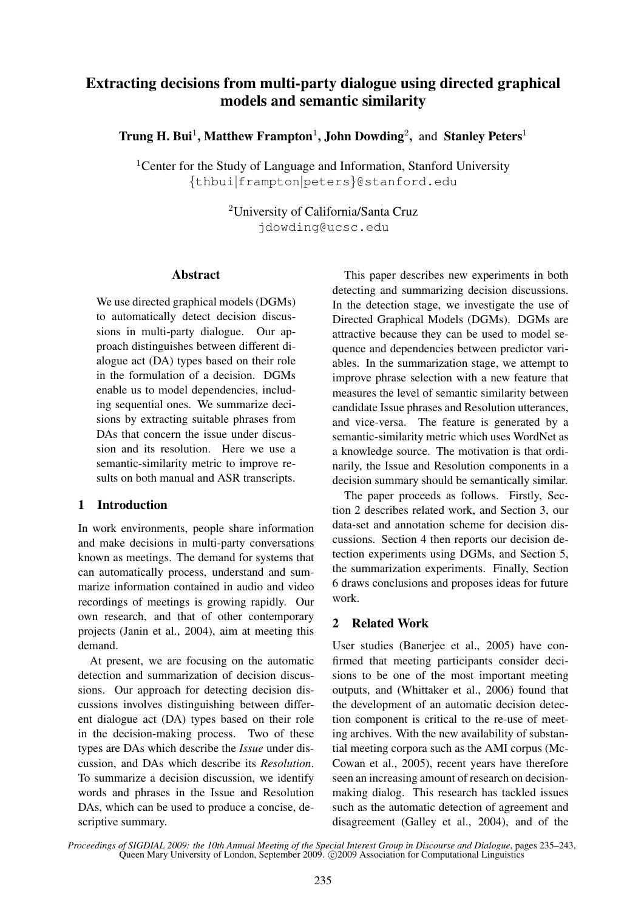# Extracting decisions from multi-party dialogue using directed graphical models and semantic similarity

Trung H. Bui<sup>1</sup>, Matthew Frampton<sup>1</sup>, John Dowding<sup>2</sup>, and Stanley Peters<sup>1</sup>

<sup>1</sup> Center for the Study of Language and Information, Stanford University {thbui|frampton|peters}@stanford.edu

> <sup>2</sup>University of California/Santa Cruz jdowding@ucsc.edu

#### Abstract

We use directed graphical models (DGMs) to automatically detect decision discussions in multi-party dialogue. Our approach distinguishes between different dialogue act (DA) types based on their role in the formulation of a decision. DGMs enable us to model dependencies, including sequential ones. We summarize decisions by extracting suitable phrases from DAs that concern the issue under discussion and its resolution. Here we use a semantic-similarity metric to improve results on both manual and ASR transcripts.

# 1 Introduction

In work environments, people share information and make decisions in multi-party conversations known as meetings. The demand for systems that can automatically process, understand and summarize information contained in audio and video recordings of meetings is growing rapidly. Our own research, and that of other contemporary projects (Janin et al., 2004), aim at meeting this demand.

At present, we are focusing on the automatic detection and summarization of decision discussions. Our approach for detecting decision discussions involves distinguishing between different dialogue act (DA) types based on their role in the decision-making process. Two of these types are DAs which describe the *Issue* under discussion, and DAs which describe its *Resolution*. To summarize a decision discussion, we identify words and phrases in the Issue and Resolution DAs, which can be used to produce a concise, descriptive summary.

This paper describes new experiments in both detecting and summarizing decision discussions. In the detection stage, we investigate the use of Directed Graphical Models (DGMs). DGMs are attractive because they can be used to model sequence and dependencies between predictor variables. In the summarization stage, we attempt to improve phrase selection with a new feature that measures the level of semantic similarity between candidate Issue phrases and Resolution utterances, and vice-versa. The feature is generated by a semantic-similarity metric which uses WordNet as a knowledge source. The motivation is that ordinarily, the Issue and Resolution components in a decision summary should be semantically similar.

The paper proceeds as follows. Firstly, Section 2 describes related work, and Section 3, our data-set and annotation scheme for decision discussions. Section 4 then reports our decision detection experiments using DGMs, and Section 5, the summarization experiments. Finally, Section 6 draws conclusions and proposes ideas for future work.

# 2 Related Work

User studies (Banerjee et al., 2005) have confirmed that meeting participants consider decisions to be one of the most important meeting outputs, and (Whittaker et al., 2006) found that the development of an automatic decision detection component is critical to the re-use of meeting archives. With the new availability of substantial meeting corpora such as the AMI corpus (Mc-Cowan et al., 2005), recent years have therefore seen an increasing amount of research on decisionmaking dialog. This research has tackled issues such as the automatic detection of agreement and disagreement (Galley et al., 2004), and of the

*Proceedings of SIGDIAL 2009: the 10th Annual Meeting of the Special Interest Group in Discourse and Dialogue*, pages 235–243, Queen Mary University of London, September 2009. © 2009 Association for Computational Linguistics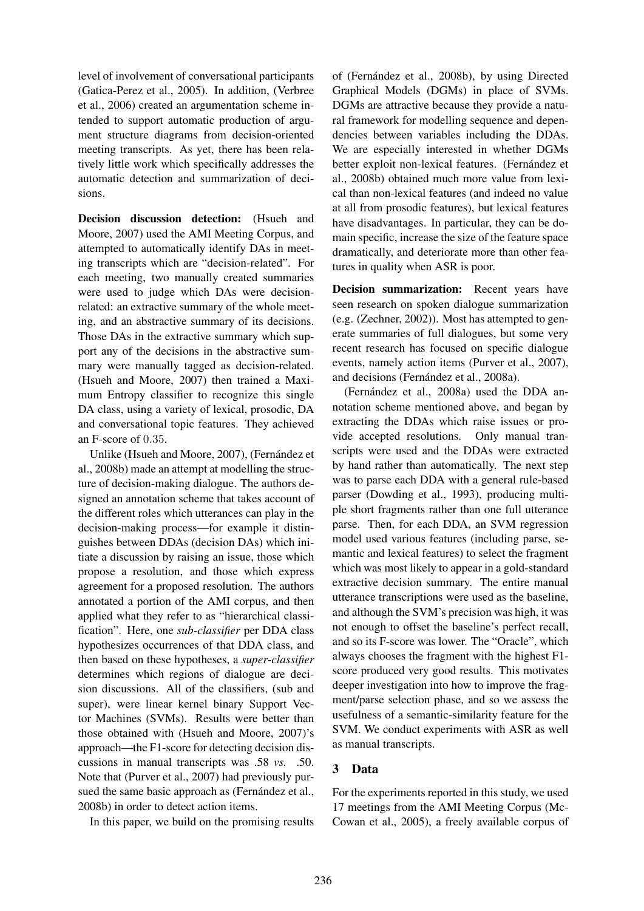level of involvement of conversational participants (Gatica-Perez et al., 2005). In addition, (Verbree et al., 2006) created an argumentation scheme intended to support automatic production of argument structure diagrams from decision-oriented meeting transcripts. As yet, there has been relatively little work which specifically addresses the automatic detection and summarization of decisions.

Decision discussion detection: (Hsueh and Moore, 2007) used the AMI Meeting Corpus, and attempted to automatically identify DAs in meeting transcripts which are "decision-related". For each meeting, two manually created summaries were used to judge which DAs were decisionrelated: an extractive summary of the whole meeting, and an abstractive summary of its decisions. Those DAs in the extractive summary which support any of the decisions in the abstractive summary were manually tagged as decision-related. (Hsueh and Moore, 2007) then trained a Maximum Entropy classifier to recognize this single DA class, using a variety of lexical, prosodic, DA and conversational topic features. They achieved an F-score of 0.35.

Unlike (Hsueh and Moore, 2007), (Fernández et al., 2008b) made an attempt at modelling the structure of decision-making dialogue. The authors designed an annotation scheme that takes account of the different roles which utterances can play in the decision-making process—for example it distinguishes between DDAs (decision DAs) which initiate a discussion by raising an issue, those which propose a resolution, and those which express agreement for a proposed resolution. The authors annotated a portion of the AMI corpus, and then applied what they refer to as "hierarchical classification". Here, one *sub-classifier* per DDA class hypothesizes occurrences of that DDA class, and then based on these hypotheses, a *super-classifier* determines which regions of dialogue are decision discussions. All of the classifiers, (sub and super), were linear kernel binary Support Vector Machines (SVMs). Results were better than those obtained with (Hsueh and Moore, 2007)'s approach—the F1-score for detecting decision discussions in manual transcripts was .58 *vs.* .50. Note that (Purver et al., 2007) had previously pursued the same basic approach as (Fernández et al., 2008b) in order to detect action items.

In this paper, we build on the promising results

of (Fernández et al., 2008b), by using Directed Graphical Models (DGMs) in place of SVMs. DGMs are attractive because they provide a natural framework for modelling sequence and dependencies between variables including the DDAs. We are especially interested in whether DGMs better exploit non-lexical features. (Fernández et al., 2008b) obtained much more value from lexical than non-lexical features (and indeed no value at all from prosodic features), but lexical features have disadvantages. In particular, they can be domain specific, increase the size of the feature space dramatically, and deteriorate more than other features in quality when ASR is poor.

Decision summarization: Recent years have seen research on spoken dialogue summarization (e.g. (Zechner, 2002)). Most has attempted to generate summaries of full dialogues, but some very recent research has focused on specific dialogue events, namely action items (Purver et al., 2007), and decisions (Fernández et al., 2008a).

(Fernández et al., 2008a) used the DDA annotation scheme mentioned above, and began by extracting the DDAs which raise issues or provide accepted resolutions. Only manual transcripts were used and the DDAs were extracted by hand rather than automatically. The next step was to parse each DDA with a general rule-based parser (Dowding et al., 1993), producing multiple short fragments rather than one full utterance parse. Then, for each DDA, an SVM regression model used various features (including parse, semantic and lexical features) to select the fragment which was most likely to appear in a gold-standard extractive decision summary. The entire manual utterance transcriptions were used as the baseline, and although the SVM's precision was high, it was not enough to offset the baseline's perfect recall, and so its F-score was lower. The "Oracle", which always chooses the fragment with the highest F1 score produced very good results. This motivates deeper investigation into how to improve the fragment/parse selection phase, and so we assess the usefulness of a semantic-similarity feature for the SVM. We conduct experiments with ASR as well as manual transcripts.

# 3 Data

For the experiments reported in this study, we used 17 meetings from the AMI Meeting Corpus (Mc-Cowan et al., 2005), a freely available corpus of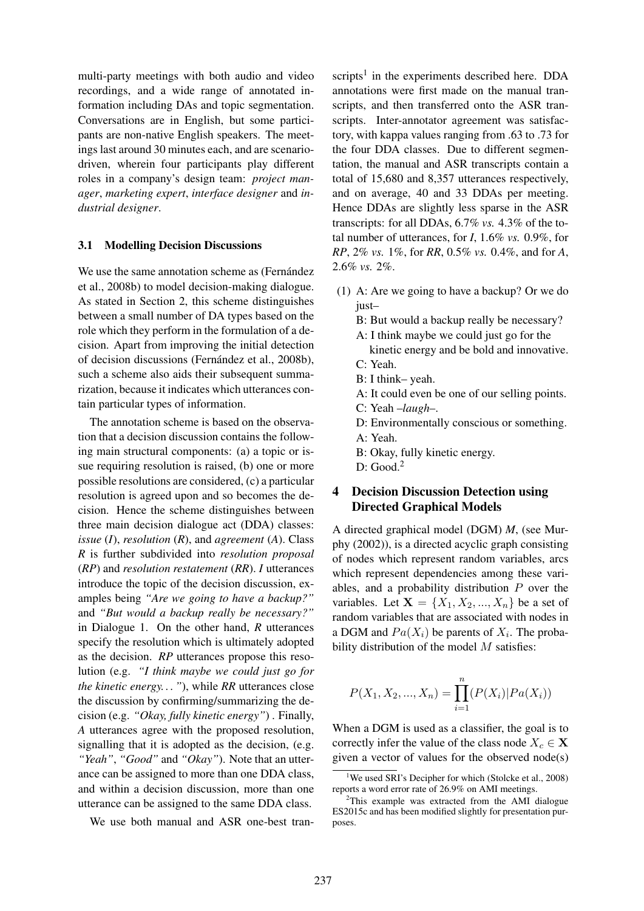multi-party meetings with both audio and video recordings, and a wide range of annotated information including DAs and topic segmentation. Conversations are in English, but some participants are non-native English speakers. The meetings last around 30 minutes each, and are scenariodriven, wherein four participants play different roles in a company's design team: *project manager*, *marketing expert*, *interface designer* and *industrial designer*.

#### 3.1 Modelling Decision Discussions

We use the same annotation scheme as (Fernández et al., 2008b) to model decision-making dialogue. As stated in Section 2, this scheme distinguishes between a small number of DA types based on the role which they perform in the formulation of a decision. Apart from improving the initial detection of decision discussions (Fernández et al., 2008b), such a scheme also aids their subsequent summarization, because it indicates which utterances contain particular types of information.

The annotation scheme is based on the observation that a decision discussion contains the following main structural components: (a) a topic or issue requiring resolution is raised, (b) one or more possible resolutions are considered, (c) a particular resolution is agreed upon and so becomes the decision. Hence the scheme distinguishes between three main decision dialogue act (DDA) classes: *issue* (*I*), *resolution* (*R*), and *agreement* (*A*). Class *R* is further subdivided into *resolution proposal* (*RP*) and *resolution restatement* (*RR*). *I* utterances introduce the topic of the decision discussion, examples being *"Are we going to have a backup?"* and *"But would a backup really be necessary?"* in Dialogue 1. On the other hand, *R* utterances specify the resolution which is ultimately adopted as the decision. *RP* utterances propose this resolution (e.g. *"I think maybe we could just go for the kinetic energy. . . "*), while *RR* utterances close the discussion by confirming/summarizing the decision (e.g. *"Okay, fully kinetic energy"*) . Finally, *A* utterances agree with the proposed resolution, signalling that it is adopted as the decision, (e.g. *"Yeah"*, *"Good"* and *"Okay"*). Note that an utterance can be assigned to more than one DDA class, and within a decision discussion, more than one utterance can be assigned to the same DDA class.

We use both manual and ASR one-best tran-

scripts<sup>1</sup> in the experiments described here. DDA annotations were first made on the manual transcripts, and then transferred onto the ASR transcripts. Inter-annotator agreement was satisfactory, with kappa values ranging from .63 to .73 for the four DDA classes. Due to different segmentation, the manual and ASR transcripts contain a total of 15,680 and 8,357 utterances respectively, and on average, 40 and 33 DDAs per meeting. Hence DDAs are slightly less sparse in the ASR transcripts: for all DDAs, 6.7% *vs.* 4.3% of the total number of utterances, for *I*, 1.6% *vs.* 0.9%, for *RP*, 2% *vs.* 1%, for *RR*, 0.5% *vs.* 0.4%, and for *A*, 2.6% *vs.* 2%.

- (1) A: Are we going to have a backup? Or we do just–
	- B: But would a backup really be necessary?
	- A: I think maybe we could just go for the
	- kinetic energy and be bold and innovative. C: Yeah.
	- B: I think– yeah.
	- A: It could even be one of our selling points.
	- C: Yeah –*laugh*–.
	- D: Environmentally conscious or something.
	- A: Yeah.
	- B: Okay, fully kinetic energy.

D: Good.<sup>2</sup>

## 4 Decision Discussion Detection using Directed Graphical Models

A directed graphical model (DGM) *M*, (see Murphy (2002)), is a directed acyclic graph consisting of nodes which represent random variables, arcs which represent dependencies among these variables, and a probability distribution  $P$  over the variables. Let  $X = \{X_1, X_2, ..., X_n\}$  be a set of random variables that are associated with nodes in a DGM and  $Pa(X_i)$  be parents of  $X_i$ . The probability distribution of the model  $M$  satisfies:

$$
P(X_1, X_2, ..., X_n) = \prod_{i=1}^n (P(X_i) | Pa(X_i))
$$

When a DGM is used as a classifier, the goal is to correctly infer the value of the class node  $X_c \in \mathbf{X}$ given a vector of values for the observed node(s)

<sup>&</sup>lt;sup>1</sup>We used SRI's Decipher for which (Stolcke et al., 2008) reports a word error rate of 26.9% on AMI meetings.

 $2$ This example was extracted from the AMI dialogue ES2015c and has been modified slightly for presentation purposes.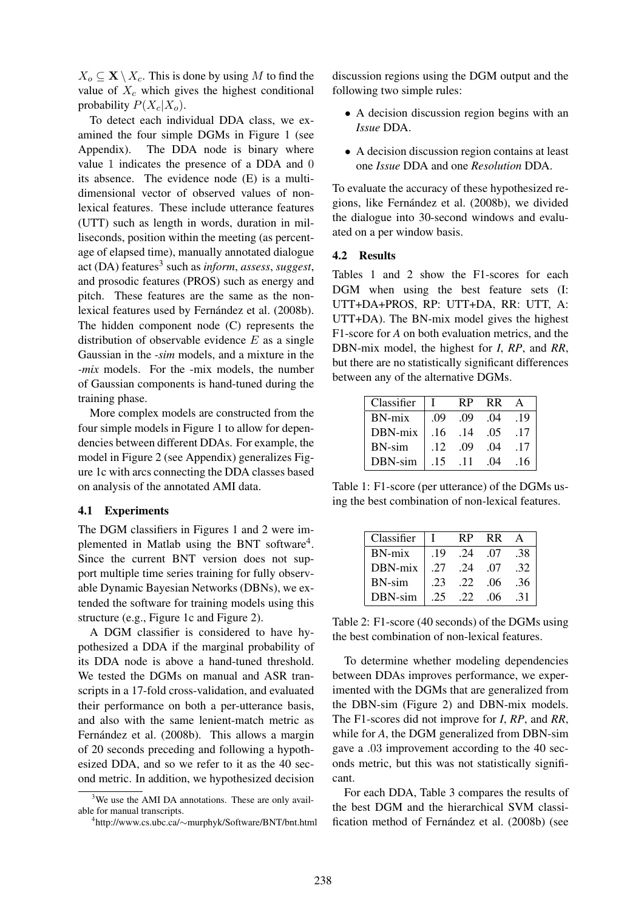$X_o \subseteq \mathbf{X} \setminus X_c$ . This is done by using M to find the value of  $X_c$  which gives the highest conditional probability  $P(X_c|X_o)$ .

To detect each individual DDA class, we examined the four simple DGMs in Figure 1 (see Appendix). The DDA node is binary where value 1 indicates the presence of a DDA and 0 its absence. The evidence node (E) is a multidimensional vector of observed values of nonlexical features. These include utterance features (UTT) such as length in words, duration in milliseconds, position within the meeting (as percentage of elapsed time), manually annotated dialogue act (DA) features<sup>3</sup> such as *inform*, *assess*, *suggest*, and prosodic features (PROS) such as energy and pitch. These features are the same as the nonlexical features used by Fernández et al. (2008b). The hidden component node (C) represents the distribution of observable evidence  $E$  as a single Gaussian in the *-sim* models, and a mixture in the *-mix* models. For the -mix models, the number of Gaussian components is hand-tuned during the training phase.

More complex models are constructed from the four simple models in Figure 1 to allow for dependencies between different DDAs. For example, the model in Figure 2 (see Appendix) generalizes Figure 1c with arcs connecting the DDA classes based on analysis of the annotated AMI data.

#### 4.1 Experiments

The DGM classifiers in Figures 1 and 2 were implemented in Matlab using the BNT software<sup>4</sup>. Since the current BNT version does not support multiple time series training for fully observable Dynamic Bayesian Networks (DBNs), we extended the software for training models using this structure (e.g., Figure 1c and Figure 2).

A DGM classifier is considered to have hypothesized a DDA if the marginal probability of its DDA node is above a hand-tuned threshold. We tested the DGMs on manual and ASR transcripts in a 17-fold cross-validation, and evaluated their performance on both a per-utterance basis, and also with the same lenient-match metric as Fernández et al. (2008b). This allows a margin of 20 seconds preceding and following a hypothesized DDA, and so we refer to it as the 40 second metric. In addition, we hypothesized decision discussion regions using the DGM output and the following two simple rules:

- A decision discussion region begins with an *Issue* DDA.
- A decision discussion region contains at least one *Issue* DDA and one *Resolution* DDA.

To evaluate the accuracy of these hypothesized regions, like Fernández et al. (2008b), we divided the dialogue into 30-second windows and evaluated on a per window basis.

#### 4.2 Results

Tables 1 and 2 show the F1-scores for each DGM when using the best feature sets (I: UTT+DA+PROS, RP: UTT+DA, RR: UTT, A: UTT+DA). The BN-mix model gives the highest F1-score for *A* on both evaluation metrics, and the DBN-mix model, the highest for *I*, *RP*, and *RR*, but there are no statistically significant differences between any of the alternative DGMs.

| Classifier | $\perp$ | <b>RP</b> | RR. | $\mathsf{A}$ |
|------------|---------|-----------|-----|--------------|
| BN-mix     | .09     | .09       | .04 | .19          |
| DBN-mix    | .16     | .14       | .05 | .17          |
| BN-sim     | .12     | .09       | .04 | .17          |
| DBN-sim    | .15     | .11       | .04 | .16          |

Table 1: F1-score (per utterance) of the DGMs using the best combination of non-lexical features.

| Classifier    | $\perp$ | R <sub>P</sub> | RR. | A   |
|---------------|---------|----------------|-----|-----|
| $BN-mix$      | .19     | .24            | .07 | .38 |
| DBN-mix       | .27     | .24            | .07 | .32 |
| <b>BN-sim</b> | .23     | .22            | .06 | .36 |
| DBN-sim       | .25     | .22            | .06 | .31 |

Table 2: F1-score (40 seconds) of the DGMs using the best combination of non-lexical features.

To determine whether modeling dependencies between DDAs improves performance, we experimented with the DGMs that are generalized from the DBN-sim (Figure 2) and DBN-mix models. The F1-scores did not improve for *I*, *RP*, and *RR*, while for *A*, the DGM generalized from DBN-sim gave a .03 improvement according to the 40 seconds metric, but this was not statistically significant.

For each DDA, Table 3 compares the results of the best DGM and the hierarchical SVM classification method of Fernández et al. (2008b) (see

<sup>&</sup>lt;sup>3</sup>We use the AMI DA annotations. These are only available for manual transcripts.

<sup>4</sup> http://www.cs.ubc.ca/∼murphyk/Software/BNT/bnt.html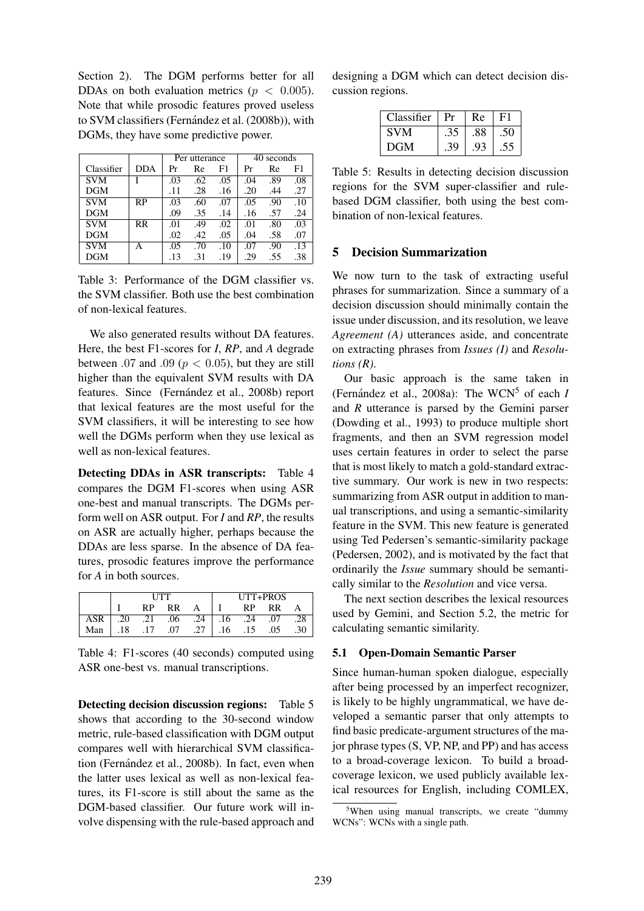Section 2). The DGM performs better for all DDAs on both evaluation metrics ( $p < 0.005$ ). Note that while prosodic features proved useless to SVM classifiers (Fernández et al. (2008b)), with DGMs, they have some predictive power.

|            |            | Per utterance |     |     | 40 seconds |     |     |
|------------|------------|---------------|-----|-----|------------|-----|-----|
| Classifier | <b>DDA</b> | Pr            | Re  | F1  | Pr         | Re  | F1  |
| <b>SVM</b> |            | .03           | .62 | .05 | .04        | .89 | .08 |
| DGM        |            | .11           | .28 | .16 | .20        | .44 | .27 |
| <b>SVM</b> | <b>RP</b>  | .03           | .60 | .07 | .05        | .90 | .10 |
| <b>DGM</b> |            | .09           | .35 | .14 | .16        | .57 | .24 |
| <b>SVM</b> | <b>RR</b>  | .01           | .49 | .02 | .01        | .80 | .03 |
| <b>DGM</b> |            | .02           | .42 | .05 | .04        | .58 | .07 |
| <b>SVM</b> | А          | .05           | .70 | .10 | .07        | .90 | .13 |
| DGM        |            | .13           | .31 | .19 | .29        | .55 | .38 |

Table 3: Performance of the DGM classifier vs. the SVM classifier. Both use the best combination of non-lexical features.

We also generated results without DA features. Here, the best F1-scores for *I*, *RP*, and *A* degrade between .07 and .09 ( $p < 0.05$ ), but they are still higher than the equivalent SVM results with DA features. Since (Fernández et al., 2008b) report that lexical features are the most useful for the SVM classifiers, it will be interesting to see how well the DGMs perform when they use lexical as well as non-lexical features.

Detecting DDAs in ASR transcripts: Table 4 compares the DGM F1-scores when using ASR one-best and manual transcripts. The DGMs perform well on ASR output. For *I* and *RP*, the results on ASR are actually higher, perhaps because the DDAs are less sparse. In the absence of DA features, prosodic features improve the performance for *A* in both sources.

|     | <b>ITTT</b> |     |     | UTT+PROS |    |     |     |     |
|-----|-------------|-----|-----|----------|----|-----|-----|-----|
|     |             | RP  | RR  |          |    | RP  | RR  |     |
| ASR | .20         | .21 | .06 | .24      | 16 | .24 | .07 |     |
| Man | 18          |     | 07  | .27      | 16 | .15 | .05 | .30 |

Table 4: F1-scores (40 seconds) computed using ASR one-best vs. manual transcriptions.

Detecting decision discussion regions: Table 5 shows that according to the 30-second window metric, rule-based classification with DGM output compares well with hierarchical SVM classification (Fernández et al., 2008b). In fact, even when the latter uses lexical as well as non-lexical features, its F1-score is still about the same as the DGM-based classifier. Our future work will involve dispensing with the rule-based approach and designing a DGM which can detect decision discussion regions.

| Classifier | Pr  | Re  | F1  |
|------------|-----|-----|-----|
| <b>SVM</b> |     | .88 |     |
| <b>DGM</b> | .39 | .93 | .55 |

Table 5: Results in detecting decision discussion regions for the SVM super-classifier and rulebased DGM classifier, both using the best combination of non-lexical features.

#### 5 Decision Summarization

We now turn to the task of extracting useful phrases for summarization. Since a summary of a decision discussion should minimally contain the issue under discussion, and its resolution, we leave *Agreement (A)* utterances aside, and concentrate on extracting phrases from *Issues (I)* and *Resolutions (R)*.

Our basic approach is the same taken in (Fernández et al., 2008a): The WCN<sup>5</sup> of each  $I$ and *R* utterance is parsed by the Gemini parser (Dowding et al., 1993) to produce multiple short fragments, and then an SVM regression model uses certain features in order to select the parse that is most likely to match a gold-standard extractive summary. Our work is new in two respects: summarizing from ASR output in addition to manual transcriptions, and using a semantic-similarity feature in the SVM. This new feature is generated using Ted Pedersen's semantic-similarity package (Pedersen, 2002), and is motivated by the fact that ordinarily the *Issue* summary should be semantically similar to the *Resolution* and vice versa.

The next section describes the lexical resources used by Gemini, and Section 5.2, the metric for calculating semantic similarity.

#### 5.1 Open-Domain Semantic Parser

Since human-human spoken dialogue, especially after being processed by an imperfect recognizer, is likely to be highly ungrammatical, we have developed a semantic parser that only attempts to find basic predicate-argument structures of the major phrase types (S, VP, NP, and PP) and has access to a broad-coverage lexicon. To build a broadcoverage lexicon, we used publicly available lexical resources for English, including COMLEX,

<sup>&</sup>lt;sup>5</sup>When using manual transcripts, we create "dummy WCNs": WCNs with a single path.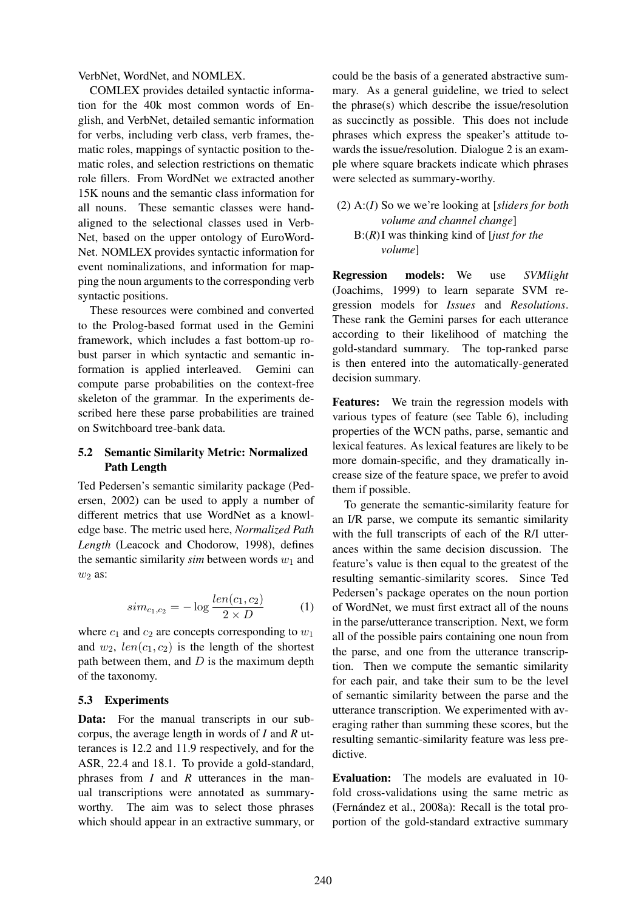VerbNet, WordNet, and NOMLEX.

COMLEX provides detailed syntactic information for the 40k most common words of English, and VerbNet, detailed semantic information for verbs, including verb class, verb frames, thematic roles, mappings of syntactic position to thematic roles, and selection restrictions on thematic role fillers. From WordNet we extracted another 15K nouns and the semantic class information for all nouns. These semantic classes were handaligned to the selectional classes used in Verb-Net, based on the upper ontology of EuroWord-Net. NOMLEX provides syntactic information for event nominalizations, and information for mapping the noun arguments to the corresponding verb syntactic positions.

These resources were combined and converted to the Prolog-based format used in the Gemini framework, which includes a fast bottom-up robust parser in which syntactic and semantic information is applied interleaved. Gemini can compute parse probabilities on the context-free skeleton of the grammar. In the experiments described here these parse probabilities are trained on Switchboard tree-bank data.

### 5.2 Semantic Similarity Metric: Normalized Path Length

Ted Pedersen's semantic similarity package (Pedersen, 2002) can be used to apply a number of different metrics that use WordNet as a knowledge base. The metric used here, *Normalized Path Length* (Leacock and Chodorow, 1998), defines the semantic similarity  $sim$  between words  $w_1$  and  $w_2$  as:

$$
sim_{c_1,c_2} = -\log \frac{len(c_1, c_2)}{2 \times D}
$$
 (1)

where  $c_1$  and  $c_2$  are concepts corresponding to  $w_1$ and  $w_2$ ,  $len(c_1, c_2)$  is the length of the shortest path between them, and  $D$  is the maximum depth of the taxonomy.

#### 5.3 Experiments

Data: For the manual transcripts in our subcorpus, the average length in words of *I* and *R* utterances is 12.2 and 11.9 respectively, and for the ASR, 22.4 and 18.1. To provide a gold-standard, phrases from *I* and *R* utterances in the manual transcriptions were annotated as summaryworthy. The aim was to select those phrases which should appear in an extractive summary, or could be the basis of a generated abstractive summary. As a general guideline, we tried to select the phrase(s) which describe the issue/resolution as succinctly as possible. This does not include phrases which express the speaker's attitude towards the issue/resolution. Dialogue 2 is an example where square brackets indicate which phrases were selected as summary-worthy.

## (2) A:(*I*) So we we're looking at [*sliders for both volume and channel change*] B:(*R*)I was thinking kind of [*just for the volume*]

Regression models: We use *SVMlight* (Joachims, 1999) to learn separate SVM regression models for *Issues* and *Resolutions*. These rank the Gemini parses for each utterance according to their likelihood of matching the gold-standard summary. The top-ranked parse is then entered into the automatically-generated decision summary.

Features: We train the regression models with various types of feature (see Table 6), including properties of the WCN paths, parse, semantic and lexical features. As lexical features are likely to be more domain-specific, and they dramatically increase size of the feature space, we prefer to avoid them if possible.

To generate the semantic-similarity feature for an I/R parse, we compute its semantic similarity with the full transcripts of each of the R/I utterances within the same decision discussion. The feature's value is then equal to the greatest of the resulting semantic-similarity scores. Since Ted Pedersen's package operates on the noun portion of WordNet, we must first extract all of the nouns in the parse/utterance transcription. Next, we form all of the possible pairs containing one noun from the parse, and one from the utterance transcription. Then we compute the semantic similarity for each pair, and take their sum to be the level of semantic similarity between the parse and the utterance transcription. We experimented with averaging rather than summing these scores, but the resulting semantic-similarity feature was less predictive.

Evaluation: The models are evaluated in 10 fold cross-validations using the same metric as (Fernández et al., 2008a): Recall is the total proportion of the gold-standard extractive summary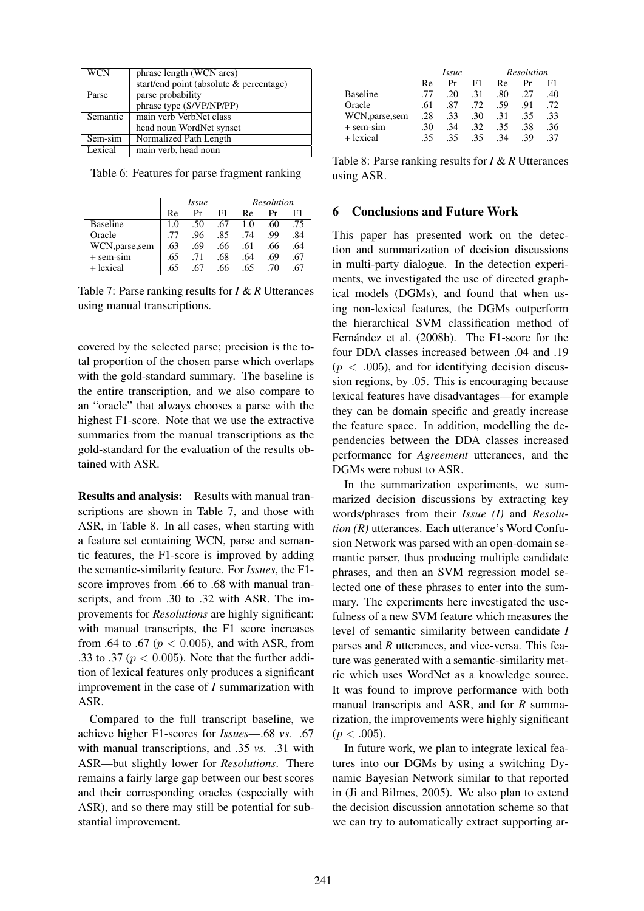| phrase length (WCN arcs)                |
|-----------------------------------------|
| start/end point (absolute & percentage) |
| parse probability                       |
| phrase type (S/VP/NP/PP)                |
| main verb VerbNet class<br>Semantic     |
| head noun WordNet synset                |
| Normalized Path Length                  |
| main verb, head noun                    |
| $Sem-sim$                               |

Table 6: Features for parse fragment ranking

|                 | Issue |     |     | Resolution |     |     |
|-----------------|-------|-----|-----|------------|-----|-----|
|                 | Re    | Pr  | F1  | Re         | Рr  |     |
| Baseline        | 1.0   | 50  | .67 | 1.0        | .60 | .75 |
| Oracle          |       | .96 | .85 | .74        | .99 | .84 |
| WCN, parse, sem | .63   | .69 | .66 | .61        | .66 | .64 |
| $+$ sem-sim     | .65   | .71 | .68 | .64        | .69 | .67 |
| + lexical       | 65    | 67  | .66 | 65         | 70  |     |

Table 7: Parse ranking results for *I* & *R* Utterances using manual transcriptions.

covered by the selected parse; precision is the total proportion of the chosen parse which overlaps with the gold-standard summary. The baseline is the entire transcription, and we also compare to an "oracle" that always chooses a parse with the highest F1-score. Note that we use the extractive summaries from the manual transcriptions as the gold-standard for the evaluation of the results obtained with ASR.

Results and analysis: Results with manual transcriptions are shown in Table 7, and those with ASR, in Table 8. In all cases, when starting with a feature set containing WCN, parse and semantic features, the F1-score is improved by adding the semantic-similarity feature. For *Issues*, the F1 score improves from .66 to .68 with manual transcripts, and from .30 to .32 with ASR. The improvements for *Resolutions* are highly significant: with manual transcripts, the F1 score increases from .64 to .67 ( $p < 0.005$ ), and with ASR, from .33 to .37 ( $p < 0.005$ ). Note that the further addition of lexical features only produces a significant improvement in the case of *I* summarization with ASR.

Compared to the full transcript baseline, we achieve higher F1-scores for *Issues*—.68 *vs.* .67 with manual transcriptions, and .35 *vs.* .31 with ASR—but slightly lower for *Resolutions*. There remains a fairly large gap between our best scores and their corresponding oracles (especially with ASR), and so there may still be potential for substantial improvement.

|                 | <i>Issue</i> |     |     | Resolution |     |     |
|-----------------|--------------|-----|-----|------------|-----|-----|
|                 | Re           | Pr  | F1  | Re         | Рr  |     |
| <b>Baseline</b> |              | .20 | .31 | .80        | .27 | .40 |
| Oracle          | .61          | .87 | .72 | .59        | .91 | .72 |
| WCN, parse, sem | .28          | .33 | .30 | .31        | .35 | .33 |
| $+$ sem-sim     | .30          | .34 | .32 | .35        | .38 | .36 |
| + lexical       | .35          | 35  | .35 |            | .39 | .37 |

Table 8: Parse ranking results for *I* & *R* Utterances using ASR.

#### 6 Conclusions and Future Work

This paper has presented work on the detection and summarization of decision discussions in multi-party dialogue. In the detection experiments, we investigated the use of directed graphical models (DGMs), and found that when using non-lexical features, the DGMs outperform the hierarchical SVM classification method of Fernández et al. (2008b). The F1-score for the four DDA classes increased between .04 and .19  $(p < .005)$ , and for identifying decision discussion regions, by .05. This is encouraging because lexical features have disadvantages—for example they can be domain specific and greatly increase the feature space. In addition, modelling the dependencies between the DDA classes increased performance for *Agreement* utterances, and the DGMs were robust to ASR.

In the summarization experiments, we summarized decision discussions by extracting key words/phrases from their *Issue (I)* and *Resolution (R)* utterances. Each utterance's Word Confusion Network was parsed with an open-domain semantic parser, thus producing multiple candidate phrases, and then an SVM regression model selected one of these phrases to enter into the summary. The experiments here investigated the usefulness of a new SVM feature which measures the level of semantic similarity between candidate *I* parses and *R* utterances, and vice-versa. This feature was generated with a semantic-similarity metric which uses WordNet as a knowledge source. It was found to improve performance with both manual transcripts and ASR, and for *R* summarization, the improvements were highly significant  $(p < .005)$ .

In future work, we plan to integrate lexical features into our DGMs by using a switching Dynamic Bayesian Network similar to that reported in (Ji and Bilmes, 2005). We also plan to extend the decision discussion annotation scheme so that we can try to automatically extract supporting ar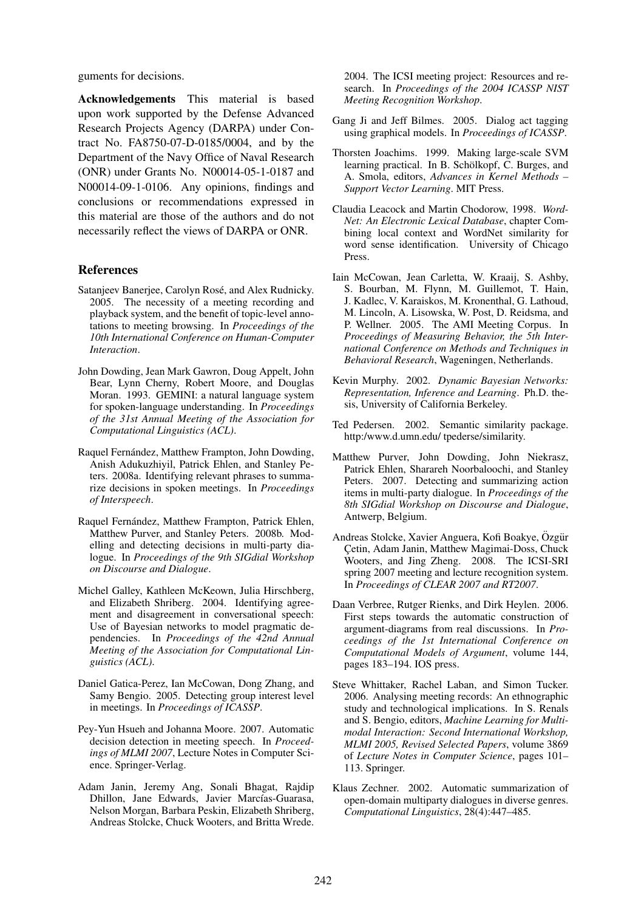guments for decisions.

Acknowledgements This material is based upon work supported by the Defense Advanced Research Projects Agency (DARPA) under Contract No. FA8750-07-D-0185/0004, and by the Department of the Navy Office of Naval Research (ONR) under Grants No. N00014-05-1-0187 and N00014-09-1-0106. Any opinions, findings and conclusions or recommendations expressed in this material are those of the authors and do not necessarily reflect the views of DARPA or ONR.

#### References

- Satanjeev Banerjee, Carolyn Rosé, and Alex Rudnicky. 2005. The necessity of a meeting recording and playback system, and the benefit of topic-level annotations to meeting browsing. In *Proceedings of the 10th International Conference on Human-Computer Interaction*.
- John Dowding, Jean Mark Gawron, Doug Appelt, John Bear, Lynn Cherny, Robert Moore, and Douglas Moran. 1993. GEMINI: a natural language system for spoken-language understanding. In *Proceedings of the 31st Annual Meeting of the Association for Computational Linguistics (ACL)*.
- Raquel Fernández, Matthew Frampton, John Dowding, Anish Adukuzhiyil, Patrick Ehlen, and Stanley Peters. 2008a. Identifying relevant phrases to summarize decisions in spoken meetings. In *Proceedings of Interspeech*.
- Raquel Fernández, Matthew Frampton, Patrick Ehlen, Matthew Purver, and Stanley Peters. 2008b. Modelling and detecting decisions in multi-party dialogue. In *Proceedings of the 9th SIGdial Workshop on Discourse and Dialogue*.
- Michel Galley, Kathleen McKeown, Julia Hirschberg, and Elizabeth Shriberg. 2004. Identifying agreement and disagreement in conversational speech: Use of Bayesian networks to model pragmatic dependencies. In *Proceedings of the 42nd Annual Meeting of the Association for Computational Linguistics (ACL)*.
- Daniel Gatica-Perez, Ian McCowan, Dong Zhang, and Samy Bengio. 2005. Detecting group interest level in meetings. In *Proceedings of ICASSP*.
- Pey-Yun Hsueh and Johanna Moore. 2007. Automatic decision detection in meeting speech. In *Proceedings of MLMI 2007*, Lecture Notes in Computer Science. Springer-Verlag.
- Adam Janin, Jeremy Ang, Sonali Bhagat, Rajdip Dhillon, Jane Edwards, Javier Marcías-Guarasa, Nelson Morgan, Barbara Peskin, Elizabeth Shriberg, Andreas Stolcke, Chuck Wooters, and Britta Wrede.

2004. The ICSI meeting project: Resources and research. In *Proceedings of the 2004 ICASSP NIST Meeting Recognition Workshop*.

- Gang Ji and Jeff Bilmes. 2005. Dialog act tagging using graphical models. In *Proceedings of ICASSP*.
- Thorsten Joachims. 1999. Making large-scale SVM learning practical. In B. Schölkopf, C. Burges, and A. Smola, editors, *Advances in Kernel Methods – Support Vector Learning*. MIT Press.
- Claudia Leacock and Martin Chodorow, 1998. *Word-Net: An Electronic Lexical Database*, chapter Combining local context and WordNet similarity for word sense identification. University of Chicago Press.
- Iain McCowan, Jean Carletta, W. Kraaij, S. Ashby, S. Bourban, M. Flynn, M. Guillemot, T. Hain, J. Kadlec, V. Karaiskos, M. Kronenthal, G. Lathoud, M. Lincoln, A. Lisowska, W. Post, D. Reidsma, and P. Wellner. 2005. The AMI Meeting Corpus. In *Proceedings of Measuring Behavior, the 5th International Conference on Methods and Techniques in Behavioral Research*, Wageningen, Netherlands.
- Kevin Murphy. 2002. *Dynamic Bayesian Networks: Representation, Inference and Learning*. Ph.D. thesis, University of California Berkeley.
- Ted Pedersen. 2002. Semantic similarity package. http:/www.d.umn.edu/ tpederse/similarity.
- Matthew Purver, John Dowding, John Niekrasz, Patrick Ehlen, Sharareh Noorbaloochi, and Stanley Peters. 2007. Detecting and summarizing action items in multi-party dialogue. In *Proceedings of the 8th SIGdial Workshop on Discourse and Dialogue*, Antwerp, Belgium.
- Andreas Stolcke, Xavier Anguera, Kofi Boakye, Özgür Çetin, Adam Janin, Matthew Magimai-Doss, Chuck Wooters, and Jing Zheng. 2008. The ICSI-SRI spring 2007 meeting and lecture recognition system. In *Proceedings of CLEAR 2007 and RT2007*.
- Daan Verbree, Rutger Rienks, and Dirk Heylen. 2006. First steps towards the automatic construction of argument-diagrams from real discussions. In *Proceedings of the 1st International Conference on Computational Models of Argument*, volume 144, pages 183–194. IOS press.
- Steve Whittaker, Rachel Laban, and Simon Tucker. 2006. Analysing meeting records: An ethnographic study and technological implications. In S. Renals and S. Bengio, editors, *Machine Learning for Multimodal Interaction: Second International Workshop, MLMI 2005, Revised Selected Papers*, volume 3869 of *Lecture Notes in Computer Science*, pages 101– 113. Springer.
- Klaus Zechner. 2002. Automatic summarization of open-domain multiparty dialogues in diverse genres. *Computational Linguistics*, 28(4):447–485.